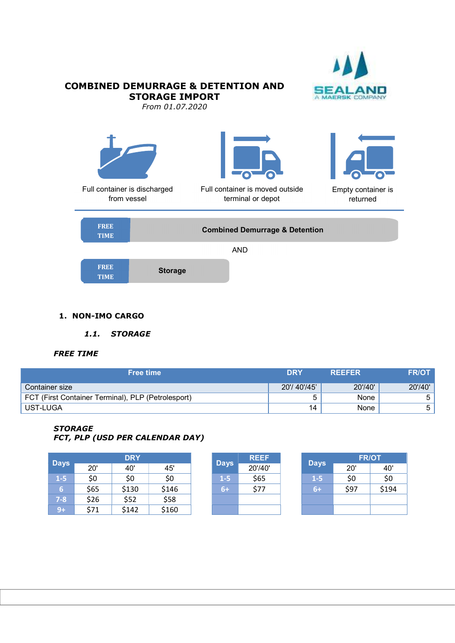

# **COMBINED DEMURRAGE & DETENTION AND<br>STORAGE IMPORT** STORAGE IMPORT From 01.07.2020 Full container is discharged from vessel Empty container is returned Full container is moved outside terminal or depot FREE TIME Combined Demurrage & Detention FREE Storage AND

TIME Storage Storage Storage Storage Storage Storage Storage Storage Storage Storage Storage Storage Storage Storage Storage Storage Storage Storage Storage Storage Storage Storage Storage Storage Storage Storage Storage S

#### 1. NON-IMO CARGO

1.1. STORAGE

### FREE TIME

| Free time                                          | <b>DRY</b>  | <b>REEFER</b> | <b>FR/OT</b> |
|----------------------------------------------------|-------------|---------------|--------------|
| Container size                                     | 20'/40'/45' | 20'/40'       | 20'/40'      |
| FCT (First Container Terminal), PLP (Petrolesport) |             | None          |              |
| UST-LUGA                                           | 14          | None          |              |

#### **STORAGE** FCT, PLP (USD PER CALENDAR DAY)

|             |      | <b>DRY</b> |       |       | <b>REEF</b> |             |      | <b>FR/OT</b> |
|-------------|------|------------|-------|-------|-------------|-------------|------|--------------|
| <b>Days</b> | 20'  | 40'        | 45'   | Days  | 20'/40'     | <b>Days</b> | 20'  | 40'          |
| $1-5$       | \$0  | \$0        | \$0   | $1-5$ | \$65        | $1-5$       | \$0  | \$0          |
| 67          | \$65 | \$130      | \$146 | $6+$  | \$77        | $6 +$       | \$97 | \$194        |
| $7-8$       | \$26 | \$52       | \$58  |       |             |             |      |              |
| $9+$        | \$71 | \$142      | \$160 |       |             |             |      |              |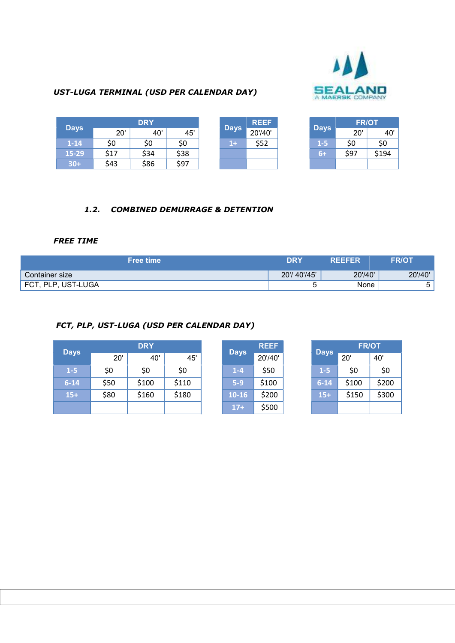

# UST-LUGA TERMINAL (USD PER CALENDAR DAY)

| <b>Days</b> | <b>DRY</b> |      |      |  |             | <b>REEF</b> |             | <b>FR/OT</b> |       |
|-------------|------------|------|------|--|-------------|-------------|-------------|--------------|-------|
|             | 20'        | 40'  | 45'  |  | <b>Days</b> | 20'/40'     | <b>Days</b> | 20'          | 40'   |
| $1 - 14$    | \$0        | \$0  | \$0  |  | $1+$        | \$52        | $1 - 5$     | \$0          | \$0   |
| 15-29       | \$17       | \$34 | \$38 |  |             |             | $6+$        | \$97         | \$194 |
| $30+$       | \$43       | \$86 | \$97 |  |             |             |             |              |       |

## 1.2. COMBINED DEMURRAGE & DETENTION

## FREE TIME

| <b>Free time</b>   | <b>DRY</b>  | <b>REEFER</b> | <b>FR/OT</b> |
|--------------------|-------------|---------------|--------------|
| Container size     | 20'/40'/45' | 20'/40'       | 20'/40'      |
| FCT, PLP, UST-LUGA |             | None          | ∽            |

# FCT, PLP, UST-LUGA (USD PER CALENDAR DAY)

| <b>Days</b> |      | <b>DRY</b> |       |  |             | <b>REEF</b> | <b>Days</b> | <b>FR/OT</b> |       |
|-------------|------|------------|-------|--|-------------|-------------|-------------|--------------|-------|
|             | 20'  | 40'        | 45'   |  | <b>Days</b> | 20'/40'     |             | 20'          | 40'   |
| $1-5$       | \$0  | \$0        | \$0   |  | $1 - 4$     | \$50        | $1-5$       | \$0          | \$0   |
| $6 - 14$    | \$50 | \$100      | \$110 |  | $5-9$       | \$100       | $6 - 14$    | \$100        | \$200 |
| $15+$       | \$80 | \$160      | \$180 |  | $10-16$     | \$200       | $15+$       | \$150        | \$300 |
|             |      |            |       |  | $17+$       | \$500       |             |              |       |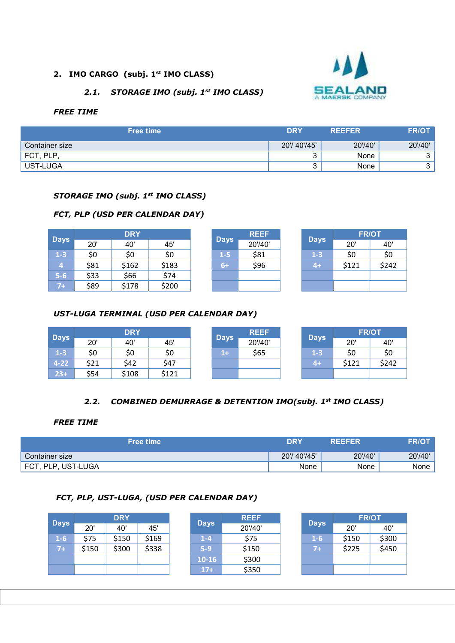## 2. IMO CARGO (subj. 1<sup>st</sup> IMO CLASS)

# 2.1. STORAGE IMO (subj. 1st IMO CLASS)



#### FREE TIME

| <b>Free time</b> | <b>DRY</b>  | <b>REEFER</b> | <b>FR/OT</b> |
|------------------|-------------|---------------|--------------|
| Container size   | 20'/40'/45' | 20'/40'       | 20'/40'      |
| FCT, PLP,        |             | None          | ົ            |
| UST-LUGA         |             | None          | ົ<br>ື       |

#### STORAGE IMO (subj. 1<sup>st</sup> IMO CLASS)

## FCT, PLP (USD PER CALENDAR DAY)

|             | <b>DRY</b> |       |       |  |             | <b>REEF</b> |             | <b>FR/OT</b> |       |  |
|-------------|------------|-------|-------|--|-------------|-------------|-------------|--------------|-------|--|
| <b>Days</b> | 20'        | 40'   | 45'   |  | <b>Days</b> | 20'/40'     | <b>Days</b> | 20'          | 40'   |  |
| $1-3$       | \$0        | \$0   | \$0   |  | $1-5$       | \$81        | $1-3$       | \$0          | \$0   |  |
| 4           | \$81       | \$162 | \$183 |  | $6+$        | \$96        | 4+          | \$121        | \$242 |  |
| $5-6$       | \$33       | \$66  | \$74  |  |             |             |             |              |       |  |
| $7+$        | \$89       | \$178 | \$200 |  |             |             |             |              |       |  |

### UST-LUGA TERMINAL (USD PER CALENDAR DAY)

|             |      | <b>DRY</b> |       |  |             | <b>REEF</b> |             |       | <b>FR/OT</b> |  |  |
|-------------|------|------------|-------|--|-------------|-------------|-------------|-------|--------------|--|--|
| <b>Days</b> | 20'  | 40'        | 45'   |  | <b>Days</b> | 20'/40'     | <b>Days</b> | 20'   | 40'          |  |  |
| $1 - 3$     | \$0  | \$0        | \$0   |  | $1+$        | \$65        | $1-3$       | \$0   | \$0          |  |  |
| $4 - 22$    | \$21 | \$42       | \$47  |  |             |             | $4+$        | \$121 | \$242        |  |  |
| $23+$       | \$54 | \$108      | \$121 |  |             |             |             |       |              |  |  |

### 2.2. COMBINED DEMURRAGE & DETENTION IMO(subj. 1st IMO CLASS)

#### FREE TIME

| lFree time\        | <b>DRY</b>  | <b>REEFER</b> | <b>FR/OT</b> |
|--------------------|-------------|---------------|--------------|
| Container size     | 20'/40'/45' | 20'/40'       | 20'/40'      |
| FCT, PLP, UST-LUGA | None        | None          | None         |

### FCT, PLP, UST-LUGA, (USD PER CALENDAR DAY)

|             | <b>DRY</b> |       |       | <b>REEF</b> |         | <b>FR/OT</b> |       |       |
|-------------|------------|-------|-------|-------------|---------|--------------|-------|-------|
| <b>Days</b> | 20'        | 40'   | 45'   | <b>Days</b> | 20'/40' | <b>Days</b>  | 20'   | 40'   |
| $1-6$       | \$75       | \$150 | \$169 | $1 - 4$     | \$75    | $1-6$        | \$150 | \$300 |
| $7+$        | \$150      | \$300 | \$338 | $5-9$       | \$150   | $7+$         | \$225 | \$450 |
|             |            |       |       | $10-16$     | \$300   |              |       |       |
|             |            |       |       | $17+$       | \$350   |              |       |       |
|             |            |       |       |             |         |              |       |       |